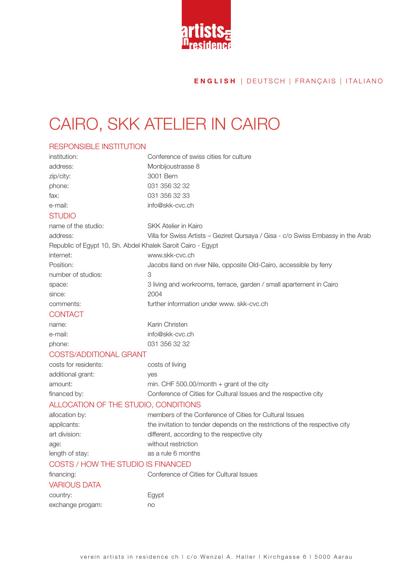

## CAIRO, SKK ATELIER IN CAIRO

### RESPONSIBLE INSTITUTION

| institution:                                                | Conference of swiss cities for culture                                           |
|-------------------------------------------------------------|----------------------------------------------------------------------------------|
| address:                                                    | Monbijoustrasse 8                                                                |
| zip/city:                                                   | 3001 Bern                                                                        |
| phone:                                                      | 031 356 32 32                                                                    |
| fax:                                                        | 031 356 32 33                                                                    |
| e-mail:                                                     | info@skk-cvc.ch                                                                  |
| <b>STUDIO</b>                                               |                                                                                  |
| name of the studio:                                         | <b>SKK Atelier in Kairo</b>                                                      |
| address:                                                    | Villa for Swiss Artists - Geziret Qursaya / Gisa - c/o Swiss Embassy in the Arab |
| Republic of Egypt 10, Sh. Abdel Khalek Saroit Cairo - Egypt |                                                                                  |
| internet:                                                   | www.skk-cvc.ch                                                                   |
| Position:                                                   | Jacobs iland on river Nile, opposite Old-Cairo, accessible by ferry              |
| number of studios:                                          | 3                                                                                |
| space:                                                      | 3 living and workrooms, terrace, garden / small apartement in Cairo              |
| since:                                                      | 2004                                                                             |
| comments:                                                   | further information under www. skk-cvc.ch                                        |
| <b>CONTACT</b>                                              |                                                                                  |
| name:                                                       | Karin Christen                                                                   |
| e-mail:                                                     | info@skk-cvc.ch                                                                  |
| phone:                                                      | 031 356 32 32                                                                    |
| <b>COSTS/ADDITIONAL GRANT</b>                               |                                                                                  |
| costs for residents:                                        | costs of living                                                                  |
| additional grant:                                           | yes                                                                              |
| amount:                                                     | min. CHF 500.00/month $+$ grant of the city                                      |
| financed by:                                                | Conference of Cities for Cultural Issues and the respective city                 |
| ALLOCATION OF THE STUDIO, CONDITIONS                        |                                                                                  |
| allocation by:                                              | members of the Conference of Cities for Cultural Issues                          |
| appilcants:                                                 | the invitation to tender depends on the restrictions of the respective city      |
| art division:                                               | different, according to the respective city                                      |
| age:                                                        | without restriction                                                              |
| length of stay:                                             | as a rule 6 months                                                               |
| COSTS / HOW THE STUDIO IS FINANCED                          |                                                                                  |
| financing:                                                  | Conference of Cities for Cultural Issues                                         |
| <b>VARIOUS DATA</b>                                         |                                                                                  |
| country:                                                    | Egypt                                                                            |
| exchange progam:                                            | no                                                                               |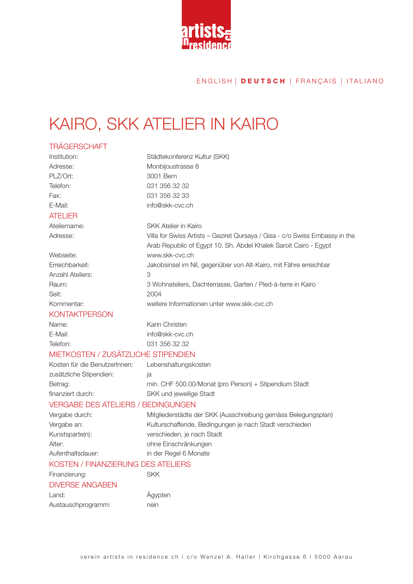

## KAIRO, SKK ATELIER IN KAIRO

### **TRÄGERSCHAFT** Institution: Städtekonferenz Kultur (SKK) Adresse: Monbijoustrasse 8 PLZ/Ort: 3001 Bern Telefon: 031 356 32 32 Fax: 031 356 32 33 E-Mail: info@skk-cvc.ch ATELIER Ateliername: SKK Atelier in Kairo Adresse: Villa for Swiss Artists – Geziret Qursaya / Gisa - c/o Swiss Embassy in the Arab Republic of Egypt 10, Sh. Abdel Khalek Saroit Cairo - Egypt Webseite: www.skk-cvc.ch Erreichbarkeit: Jakobsinsel im Nil, gegenüber von Alt-Kairo, mit Fähre erreichbar Anzahl Ateliers: 3 Raum: 3 Wohnateliers, Dachterrasse, Garten / Pied-à-terre in Kairo Seit: 2004 Kommentar: weitere Informationen unter www.skk-cvc.ch **KONTAKTPERSON** Name: Karin Christen E-Mail: info@skk-cvc.ch Telefon: 031 356 32 32 MIFTKOSTEN / ZUSÄTZLICHE STIPENDIEN Kosten für die BenutzerInnen: Lebenshaltungskosten zusätzliche Stipendien: ja Betrag: min. CHF 500.00/Monat (pro Person) + Stipendium Stadt finanziert durch: SKK und jeweilige Stadt VERGABE DES ATELIERS / BEDINGUNGEN Vergabe durch: Mitgliederstädte der SKK (Ausschreibung gemäss Belegungsplan) Vergabe an: Kulturschaffende, Bedingungen je nach Stadt verschieden Kunstsparte(n): verschieden, je nach Stadt Alter: ohne Einschränkungen Aufenthaltsdauer: in der Regel 6 Monate KOSTEN / FINANZIERUNG DES ATELIERS Finanzierung: SKK DIVERSE ANGABEN

Land: Ägypten Austauschprogramm: nein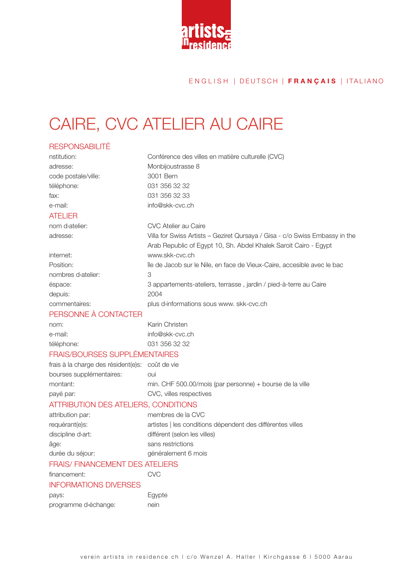

## CAIRE, CVC ATELIER AU CAIRE

### RESPONSABILITÉ nstitution: Conférence des villes en matière culturelle (CVC) adresse: Monbijoustrasse 8 code postale/ville: 3001 Bern téléphone: 031 356 32 32 fax: 031 356 32 33 e-mail: info@skk-cvc.ch ATELIER nom d›atelier: CVC Atelier au Caire adresse: Villa for Swiss Artists – Geziret Qursaya / Gisa - c/o Swiss Embassy in the Arab Republic of Egypt 10, Sh. Abdel Khalek Saroit Cairo - Egypt internet: www.skk-cvc.ch Position: **illuming the State of the Jacob sur le Nile, en face de Vieux-Caire, accesible avec le bac** nombres d›atelier: 3 éspace: 3 appartements-ateliers, terrasse , jardin / pied-à-terre au Caire depuis: 2004 commentaires: plus d>informations sous www. skk-cvc.ch PERSONNE À CONTACTER nom: Karin Christen e-mail: info@skk-cvc.ch téléphone: 031 356 32 32 FRAIS/BOURSES SUPPLÉMENTAIRES frais à la charge des résident(e)s: coût de vie bourses supplémentaires: oui montant: min. CHF 500.00/mois (par personne) + bourse de la ville payé par: CVC, villes respectives ATTRIBUTION DES ATELIERS, CONDITIONS attribution par: membres de la CVC requérant(e)s: artistes | les conditions dépendent des différentes villes discipline d<sup>3</sup>art: discipline d<sup>3</sup>art: différent (selon les villes) âge: sans restrictions durée du séjour:<br>
généralement 6 mois FRAIS/ FINANCEMENT DES ATELIERS financement: CVC INFORMATIONS DIVERSES pays: Egypte programme d<sup>3</sup>échange: nein